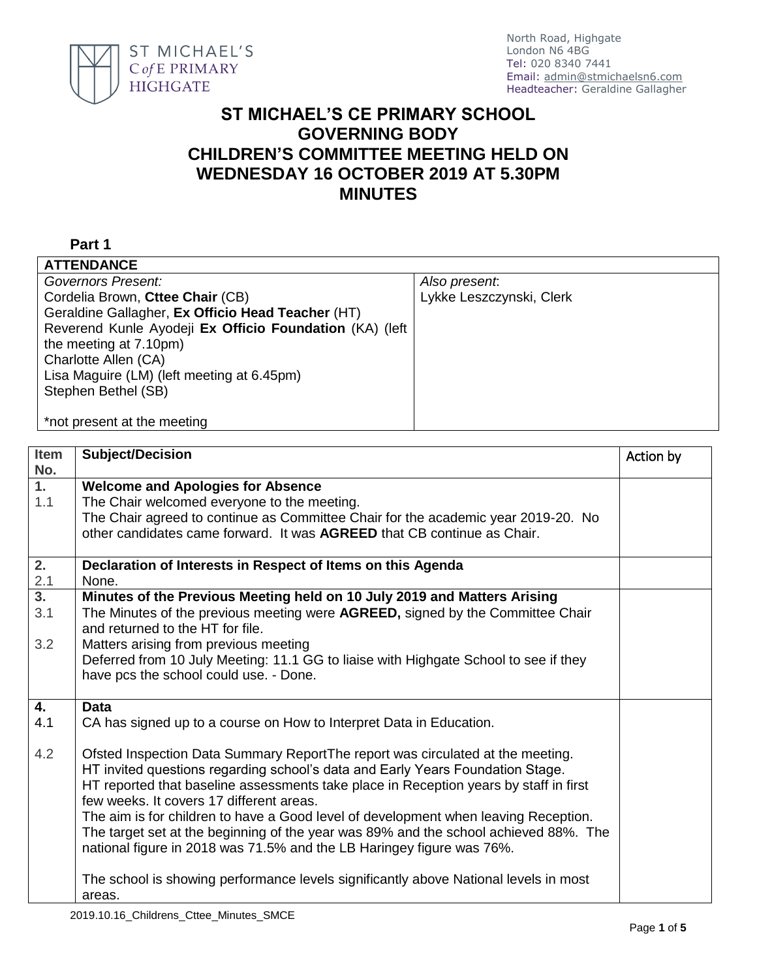

## **ST MICHAEL'S CE PRIMARY SCHOOL GOVERNING BODY CHILDREN'S COMMITTEE MEETING HELD ON WEDNESDAY 16 OCTOBER 2019 AT 5.30PM MINUTES**

## **Part 1**

| <b>ATTENDANCE</b>                                       |                          |
|---------------------------------------------------------|--------------------------|
| Governors Present:                                      | Also present.            |
| Cordelia Brown, Cttee Chair (CB)                        | Lykke Leszczynski, Clerk |
| Geraldine Gallagher, Ex Officio Head Teacher (HT)       |                          |
| Reverend Kunle Ayodeji Ex Officio Foundation (KA) (left |                          |
| the meeting at 7.10pm)                                  |                          |
| Charlotte Allen (CA)                                    |                          |
| Lisa Maguire (LM) (left meeting at 6.45pm)              |                          |
| Stephen Bethel (SB)                                     |                          |
|                                                         |                          |
| *not present at the meeting                             |                          |

| Item<br>No.      | <b>Subject/Decision</b>                                                                                                                                          | Action by |
|------------------|------------------------------------------------------------------------------------------------------------------------------------------------------------------|-----------|
| $\overline{1}$ . | <b>Welcome and Apologies for Absence</b>                                                                                                                         |           |
| 1.1              | The Chair welcomed everyone to the meeting.<br>The Chair agreed to continue as Committee Chair for the academic year 2019-20. No                                 |           |
|                  | other candidates came forward. It was AGREED that CB continue as Chair.                                                                                          |           |
|                  |                                                                                                                                                                  |           |
| 2.               | Declaration of Interests in Respect of Items on this Agenda                                                                                                      |           |
| 2.1              | None.                                                                                                                                                            |           |
| $\overline{3}$ . | Minutes of the Previous Meeting held on 10 July 2019 and Matters Arising                                                                                         |           |
| 3.1              | The Minutes of the previous meeting were AGREED, signed by the Committee Chair                                                                                   |           |
|                  | and returned to the HT for file.                                                                                                                                 |           |
| 3.2              | Matters arising from previous meeting<br>Deferred from 10 July Meeting: 11.1 GG to liaise with Highgate School to see if they                                    |           |
|                  | have pcs the school could use. - Done.                                                                                                                           |           |
|                  |                                                                                                                                                                  |           |
| 4.               | <b>Data</b>                                                                                                                                                      |           |
| 4.1              | CA has signed up to a course on How to Interpret Data in Education.                                                                                              |           |
|                  |                                                                                                                                                                  |           |
| 4.2              | Ofsted Inspection Data Summary ReportThe report was circulated at the meeting.<br>HT invited questions regarding school's data and Early Years Foundation Stage. |           |
|                  | HT reported that baseline assessments take place in Reception years by staff in first                                                                            |           |
|                  | few weeks. It covers 17 different areas.                                                                                                                         |           |
|                  | The aim is for children to have a Good level of development when leaving Reception.                                                                              |           |
|                  | The target set at the beginning of the year was 89% and the school achieved 88%. The                                                                             |           |
|                  | national figure in 2018 was 71.5% and the LB Haringey figure was 76%.                                                                                            |           |
|                  |                                                                                                                                                                  |           |
|                  | The school is showing performance levels significantly above National levels in most                                                                             |           |
|                  | areas.                                                                                                                                                           |           |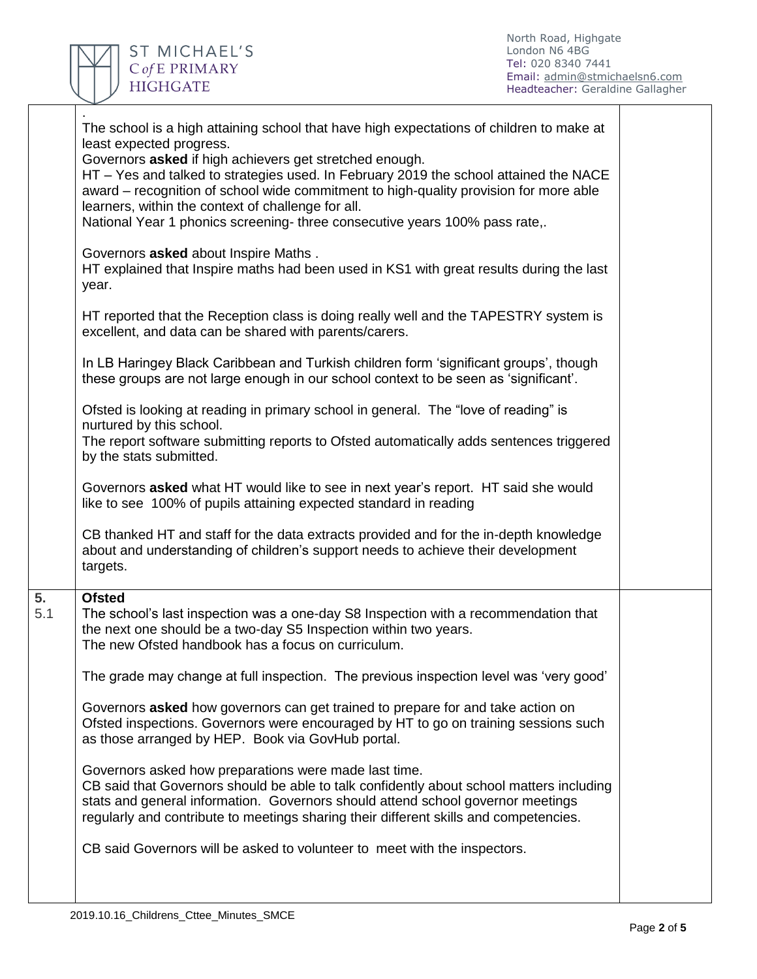

Π

|           | The school is a high attaining school that have high expectations of children to make at<br>least expected progress.<br>Governors asked if high achievers get stretched enough.<br>HT - Yes and talked to strategies used. In February 2019 the school attained the NACE<br>award – recognition of school wide commitment to high-quality provision for more able<br>learners, within the context of challenge for all.<br>National Year 1 phonics screening- three consecutive years 100% pass rate,.<br>Governors asked about Inspire Maths.<br>HT explained that Inspire maths had been used in KS1 with great results during the last |  |
|-----------|-------------------------------------------------------------------------------------------------------------------------------------------------------------------------------------------------------------------------------------------------------------------------------------------------------------------------------------------------------------------------------------------------------------------------------------------------------------------------------------------------------------------------------------------------------------------------------------------------------------------------------------------|--|
|           | year.<br>HT reported that the Reception class is doing really well and the TAPESTRY system is<br>excellent, and data can be shared with parents/carers.                                                                                                                                                                                                                                                                                                                                                                                                                                                                                   |  |
|           | In LB Haringey Black Caribbean and Turkish children form 'significant groups', though<br>these groups are not large enough in our school context to be seen as 'significant'.                                                                                                                                                                                                                                                                                                                                                                                                                                                             |  |
|           | Ofsted is looking at reading in primary school in general. The "love of reading" is<br>nurtured by this school.<br>The report software submitting reports to Ofsted automatically adds sentences triggered<br>by the stats submitted.                                                                                                                                                                                                                                                                                                                                                                                                     |  |
|           | Governors asked what HT would like to see in next year's report. HT said she would<br>like to see 100% of pupils attaining expected standard in reading                                                                                                                                                                                                                                                                                                                                                                                                                                                                                   |  |
|           | CB thanked HT and staff for the data extracts provided and for the in-depth knowledge<br>about and understanding of children's support needs to achieve their development<br>targets.                                                                                                                                                                                                                                                                                                                                                                                                                                                     |  |
| 5.<br>5.1 | <b>Ofsted</b><br>The school's last inspection was a one-day S8 Inspection with a recommendation that<br>the next one should be a two-day S5 Inspection within two years.<br>The new Ofsted handbook has a focus on curriculum.                                                                                                                                                                                                                                                                                                                                                                                                            |  |
|           | The grade may change at full inspection. The previous inspection level was 'very good'                                                                                                                                                                                                                                                                                                                                                                                                                                                                                                                                                    |  |
|           | Governors asked how governors can get trained to prepare for and take action on<br>Ofsted inspections. Governors were encouraged by HT to go on training sessions such<br>as those arranged by HEP. Book via GovHub portal.                                                                                                                                                                                                                                                                                                                                                                                                               |  |
|           | Governors asked how preparations were made last time.<br>CB said that Governors should be able to talk confidently about school matters including<br>stats and general information. Governors should attend school governor meetings<br>regularly and contribute to meetings sharing their different skills and competencies.                                                                                                                                                                                                                                                                                                             |  |
|           | CB said Governors will be asked to volunteer to meet with the inspectors.                                                                                                                                                                                                                                                                                                                                                                                                                                                                                                                                                                 |  |
|           |                                                                                                                                                                                                                                                                                                                                                                                                                                                                                                                                                                                                                                           |  |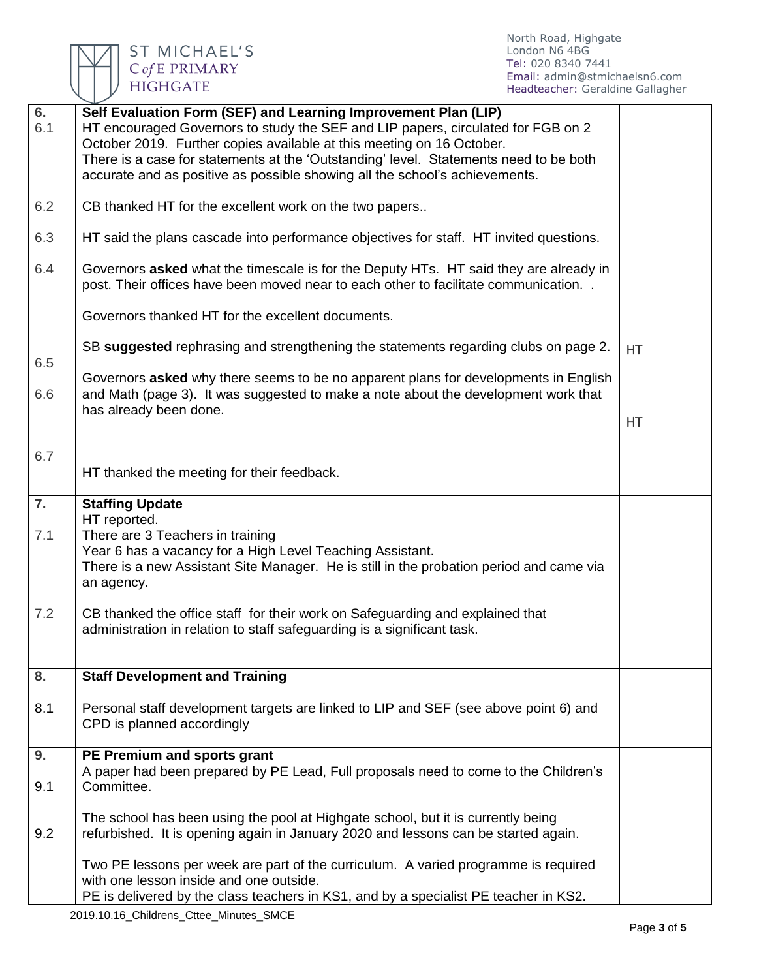

| 6.<br>6.1 | Self Evaluation Form (SEF) and Learning Improvement Plan (LIP)<br>HT encouraged Governors to study the SEF and LIP papers, circulated for FGB on 2<br>October 2019. Further copies available at this meeting on 16 October.<br>There is a case for statements at the 'Outstanding' level. Statements need to be both<br>accurate and as positive as possible showing all the school's achievements. |     |
|-----------|-----------------------------------------------------------------------------------------------------------------------------------------------------------------------------------------------------------------------------------------------------------------------------------------------------------------------------------------------------------------------------------------------------|-----|
| 6.2       | CB thanked HT for the excellent work on the two papers                                                                                                                                                                                                                                                                                                                                              |     |
| 6.3       | HT said the plans cascade into performance objectives for staff. HT invited questions.                                                                                                                                                                                                                                                                                                              |     |
| 6.4       | Governors asked what the timescale is for the Deputy HTs. HT said they are already in<br>post. Their offices have been moved near to each other to facilitate communication. .                                                                                                                                                                                                                      |     |
|           | Governors thanked HT for the excellent documents.                                                                                                                                                                                                                                                                                                                                                   |     |
| 6.5       | SB suggested rephrasing and strengthening the statements regarding clubs on page 2.                                                                                                                                                                                                                                                                                                                 | HT. |
| 6.6       | Governors asked why there seems to be no apparent plans for developments in English<br>and Math (page 3). It was suggested to make a note about the development work that<br>has already been done.                                                                                                                                                                                                 |     |
|           |                                                                                                                                                                                                                                                                                                                                                                                                     | HT  |
| 6.7       | HT thanked the meeting for their feedback.                                                                                                                                                                                                                                                                                                                                                          |     |
| 7.<br>7.1 | <b>Staffing Update</b><br>HT reported.<br>There are 3 Teachers in training<br>Year 6 has a vacancy for a High Level Teaching Assistant.<br>There is a new Assistant Site Manager. He is still in the probation period and came via<br>an agency.                                                                                                                                                    |     |
| 7.2       | CB thanked the office staff for their work on Safeguarding and explained that<br>administration in relation to staff safeguarding is a significant task.                                                                                                                                                                                                                                            |     |
| 8.        | <b>Staff Development and Training</b>                                                                                                                                                                                                                                                                                                                                                               |     |
| 8.1       | Personal staff development targets are linked to LIP and SEF (see above point 6) and<br>CPD is planned accordingly                                                                                                                                                                                                                                                                                  |     |
| 9.        | PE Premium and sports grant                                                                                                                                                                                                                                                                                                                                                                         |     |
| 9.1       | A paper had been prepared by PE Lead, Full proposals need to come to the Children's<br>Committee.                                                                                                                                                                                                                                                                                                   |     |
| 9.2       | The school has been using the pool at Highgate school, but it is currently being<br>refurbished. It is opening again in January 2020 and lessons can be started again.                                                                                                                                                                                                                              |     |
|           | Two PE lessons per week are part of the curriculum. A varied programme is required<br>with one lesson inside and one outside.<br>PE is delivered by the class teachers in KS1, and by a specialist PE teacher in KS2.                                                                                                                                                                               |     |
|           |                                                                                                                                                                                                                                                                                                                                                                                                     |     |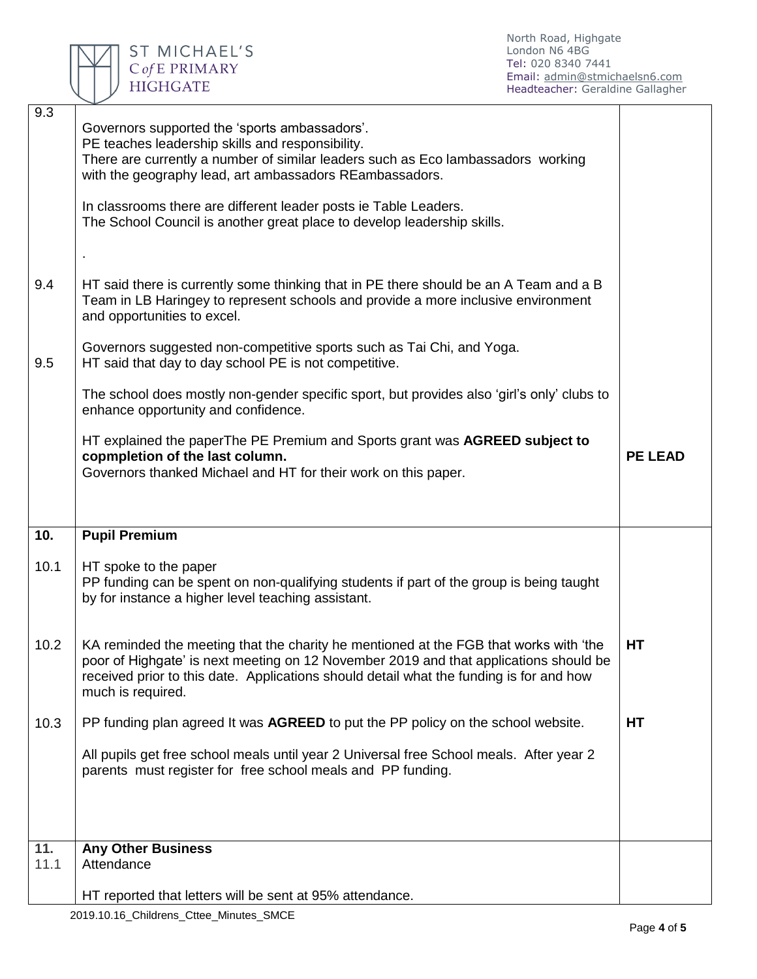

North Road, Highgate London N6 4BG Tel: 020 8340 7441 Email: [admin@stmichaelsn6.com](mailto:admin@stmichaelsn6.com) Headteacher: Geraldine Gallagher

| 9.3  | Governors supported the 'sports ambassadors'.<br>PE teaches leadership skills and responsibility.<br>There are currently a number of similar leaders such as Eco lambassadors working<br>with the geography lead, art ambassadors REambassadors.<br>In classrooms there are different leader posts ie Table Leaders.<br>The School Council is another great place to develop leadership skills. |                |
|------|-------------------------------------------------------------------------------------------------------------------------------------------------------------------------------------------------------------------------------------------------------------------------------------------------------------------------------------------------------------------------------------------------|----------------|
| 9.4  | HT said there is currently some thinking that in PE there should be an A Team and a B<br>Team in LB Haringey to represent schools and provide a more inclusive environment<br>and opportunities to excel.                                                                                                                                                                                       |                |
| 9.5  | Governors suggested non-competitive sports such as Tai Chi, and Yoga.<br>HT said that day to day school PE is not competitive.                                                                                                                                                                                                                                                                  |                |
|      | The school does mostly non-gender specific sport, but provides also 'girl's only' clubs to<br>enhance opportunity and confidence.                                                                                                                                                                                                                                                               |                |
|      | HT explained the paperThe PE Premium and Sports grant was AGREED subject to<br>copmpletion of the last column.<br>Governors thanked Michael and HT for their work on this paper.                                                                                                                                                                                                                | <b>PE LEAD</b> |
|      |                                                                                                                                                                                                                                                                                                                                                                                                 |                |
| 10.  | <b>Pupil Premium</b>                                                                                                                                                                                                                                                                                                                                                                            |                |
| 10.1 | HT spoke to the paper<br>PP funding can be spent on non-qualifying students if part of the group is being taught<br>by for instance a higher level teaching assistant.                                                                                                                                                                                                                          |                |
| 10.2 | KA reminded the meeting that the charity he mentioned at the FGB that works with 'the<br>poor of Highgate' is next meeting on 12 November 2019 and that applications should be<br>received prior to this date. Applications should detail what the funding is for and how<br>much is required.                                                                                                  | HT             |
| 10.3 | PP funding plan agreed It was AGREED to put the PP policy on the school website.                                                                                                                                                                                                                                                                                                                | HT             |
|      | All pupils get free school meals until year 2 Universal free School meals. After year 2<br>parents must register for free school meals and PP funding.                                                                                                                                                                                                                                          |                |
| 11.  | <b>Any Other Business</b>                                                                                                                                                                                                                                                                                                                                                                       |                |
| 11.1 | Attendance                                                                                                                                                                                                                                                                                                                                                                                      |                |
|      |                                                                                                                                                                                                                                                                                                                                                                                                 |                |